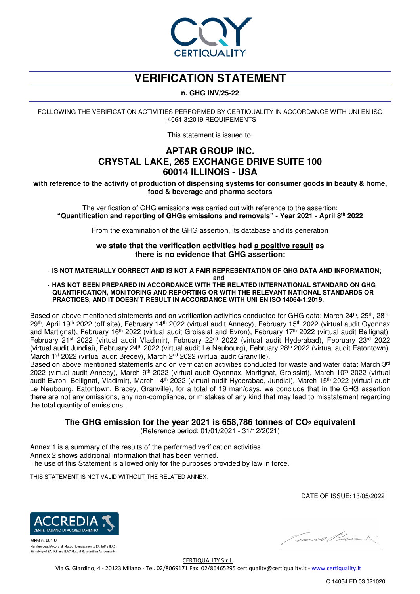

# **VERIFICATION STATEMENT**

### **n. GHG INV/25-22**

FOLLOWING THE VERIFICATION ACTIVITIES PERFORMED BY CERTIQUALITY IN ACCORDANCE WITH UNI EN ISO 14064-3:2019 REQUIREMENTS

This statement is issued to:

# **APTAR GROUP INC. CRYSTAL LAKE, 265 EXCHANGE DRIVE SUITE 100 60014 ILLINOIS - USA**

**with reference to the activity of production of dispensing systems for consumer goods in beauty & home, food & beverage and pharma sectors**

The verification of GHG emissions was carried out with reference to the assertion: **"Quantification and reporting of GHGs emissions and removals" - Year 2021 - April 8th 2022** 

From the examination of the GHG assertion, its database and its generation

**we state that the verification activities had a positive result as there is no evidence that GHG assertion:**

- **IS NOT MATERIALLY CORRECT AND IS NOT A FAIR REPRESENTATION OF GHG DATA AND INFORMATION;** 

**and** 

#### - **HAS NOT BEEN PREPARED IN ACCORDANCE WITH THE RELATED INTERNATIONAL STANDARD ON GHG QUANTIFICATION, MONITORING AND REPORTING OR WITH THE RELEVANT NATIONAL STANDARDS OR PRACTICES, AND IT DOESN'T RESULT IN ACCORDANCE WITH UNI EN ISO 14064-1:2019.**

Based on above mentioned statements and on verification activities conducted for GHG data: March 24<sup>th</sup>, 25<sup>th</sup>, 28<sup>th</sup>, 29th, April 19th 2022 (off site), February 14th 2022 (virtual audit Annecy), February 15th 2022 (virtual audit Oyonnax and Martignat), February 16th 2022 (virtual audit Groissiat and Evron), February 17th 2022 (virtual audit Bellignat), February 21st 2022 (virtual audit Vladimir), February 22nd 2022 (virtual audit Hyderabad), February 23rd 2022 (virtual audit Jundiai), February 24th 2022 (virtual audit Le Neubourg), February 28th 2022 (virtual audit Eatontown), March 1<sup>st</sup> 2022 (virtual audit Brecey), March 2<sup>nd</sup> 2022 (virtual audit Granville).

Based on above mentioned statements and on verification activities conducted for waste and water data: March 3<sup>rd</sup> 2022 (virtual audit Annecy), March 9<sup>th</sup> 2022 (virtual audit Oyonnax, Martignat, Groissiat), March 10<sup>th</sup> 2022 (virtual audit Evron, Bellignat, Vladimir), March 14<sup>th</sup> 2022 (virtual audit Hyderabad, Jundiai), March 15<sup>th</sup> 2022 (virtual audit Le Neubourg, Eatontown, Brecey, Granville), for a total of 19 man/days, we conclude that in the GHG assertion there are not any omissions, any non-compliance, or mistakes of any kind that may lead to misstatement regarding the total quantity of emissions.

**The GHG emission for the year 2021 is 658,786 tonnes of CO2 equivalent** 

(Reference period: 01/01/2021 - 31/12/2021)

Annex 1 is a summary of the results of the performed verification activities. Annex 2 shows additional information that has been verified. The use of this Statement is allowed only for the purposes provided by law in force.

THIS STATEMENT IS NOT VALID WITHOUT THE RELATED ANNEX.

DATE OF ISSUE: 13/05/2022



GHG n. 001 0 mbro degli Accordi di Mutuo riconoscimento EA. IAF e ILAC. Signatory of EA, IAF and ILAC Mutual Recognition Agreements



CERTIQUALITY S.r.l. Via G. Giardino, 4 - 20123 Milano - Tel. 02/8069171 Fax. 02/86465295 certiquality@certiquality.it - www.certiquality.it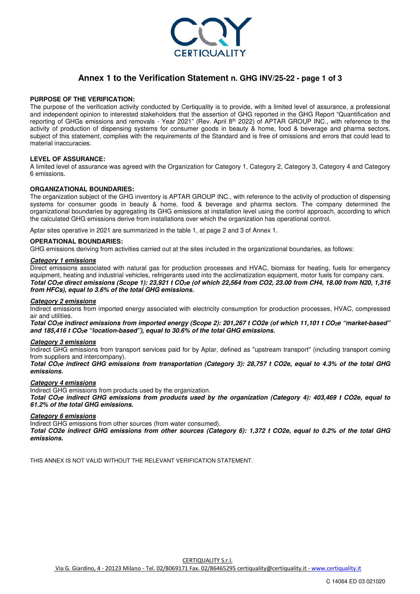

### **Annex 1 to the Verification Statement n. GHG INV/25-22 - page 1 of 3**

#### **PURPOSE OF THE VERIFICATION:**

The purpose of the verification activity conducted by Certiquality is to provide, with a limited level of assurance, a professional and independent opinion to interested stakeholders that the assertion of GHG reported in the GHG Report "Quantification and reporting of GHGs emissions and removals - Year 2021" (Rev. April 8th 2022) of APTAR GROUP INC., with reference to the activity of production of dispensing systems for consumer goods in beauty & home, food & beverage and pharma sectors, subject of this statement, complies with the requirements of the Standard and is free of omissions and errors that could lead to material inaccuracies.

#### **LEVEL OF ASSURANCE:**

A limited level of assurance was agreed with the Organization for Category 1, Category 2, Category 3, Category 4 and Category 6 emissions.

#### **ORGANIZATIONAL BOUNDARIES:**

The organization subject of the GHG inventory is APTAR GROUP INC., with reference to the activity of production of dispensing systems for consumer goods in beauty & home, food & beverage and pharma sectors. The company determined the organizational boundaries by aggregating its GHG emissions at installation level using the control approach, according to which the calculated GHG emissions derive from installations over which the organization has operational control.

Aptar sites operative in 2021 are summarized in the table 1, at page 2 and 3 of Annex 1.

#### **OPERATIONAL BOUNDARIES:**

GHG emissions deriving from activities carried out at the sites included in the organizational boundaries, as follows:

#### *Category 1 emissions*

Direct emissions associated with natural gas for production processes and HVAC, biomass for heating, fuels for emergency equipment, heating and industrial vehicles, refrigerants used into the acclimatization equipment, motor fuels for company cars. *Total CO2e direct emissions (Scope 1): 23,921 t CO2e (of which 22,564 from CO2, 23.00 from CH4, 18.00 from N20, 1,316 from HFCs), equal to 3.6% of the total GHG emissions.* 

#### *Category 2 emissions*

Indirect emissions from imported energy associated with electricity consumption for production processes, HVAC, compressed air and utilities.

*Total CO2e indirect emissions from imported energy (Scope 2): 201,267 t CO2e (of which 11,101 t CO2e "market-based" and 185,416 t CO2e "location-based"), equal to 30.6% of the total GHG emissions.* 

#### *Category 3 emissions*

Indirect GHG emissions from transport services paid for by Aptar, defined as "upstream transport" (including transport coming from suppliers and intercompany).

*Total CO2e indirect GHG emissions from transportation (Category 3): 28,757 t CO2e, equal to 4.3% of the total GHG emissions.* 

#### *Category 4 emissions*

Indirect GHG emissions from products used by the organization. *Total CO2e indirect GHG emissions from products used by the organization (Category 4): 403,469 t CO2e, equal to 61.2% of the total GHG emissions.* 

#### *Category 6 emissions*

Indirect GHG emissions from other sources (from water consumed).

*Total CO2e indirect GHG emissions from other sources (Category 6): 1,372 t CO2e, equal to 0.2% of the total GHG emissions.* 

THIS ANNEX IS NOT VALID WITHOUT THE RELEVANT VERIFICATION STATEMENT.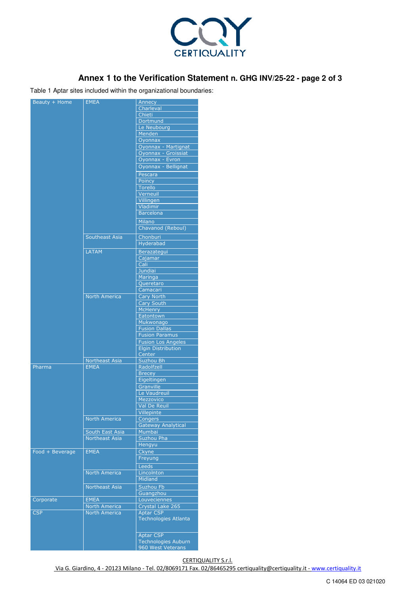

# **Annex 1 to the Verification Statement n. GHG INV/25-22 - page 2 of 3**

Table 1 Aptar sites included within the organizational boundaries:

| Beauty + Home   | <b>EMEA</b>           | Annecy<br>Charleval         |
|-----------------|-----------------------|-----------------------------|
|                 |                       |                             |
|                 |                       | Chieti<br>Dortmund          |
|                 |                       | Le Neubourg                 |
|                 |                       | Menden                      |
|                 |                       | Oyonnax                     |
|                 |                       | Oyonnax - Martignat         |
|                 |                       | Oyonnax - Groissiat         |
|                 |                       | Oyonnax - Evron             |
|                 |                       | Oyonnax - Bellignat         |
|                 |                       |                             |
|                 |                       | Pescara                     |
|                 |                       | Poincy                      |
|                 |                       | <b>Torello</b>              |
|                 |                       | Verneuil                    |
|                 |                       | Villingen                   |
|                 |                       | Vladimir                    |
|                 |                       | <b>Barcelona</b>            |
|                 |                       | <b>Milano</b>               |
|                 |                       | Chavanod (Reboul)           |
|                 | Southeast Asia        | <b>Chonburi</b>             |
|                 |                       | <b>Hyderabad</b>            |
|                 |                       |                             |
|                 | <b>LATAM</b>          | Berazategui                 |
|                 |                       | Cajamar                     |
|                 |                       | Cali                        |
|                 |                       | <b>Jundiai</b>              |
|                 |                       | Maringa                     |
|                 |                       | Queretaro                   |
|                 |                       | Camacari                    |
|                 | <b>North America</b>  | <b>Cary North</b>           |
|                 |                       | <b>Cary South</b>           |
|                 |                       | <b>McHenry</b>              |
|                 |                       | Eatontown                   |
|                 |                       | Mukwonago                   |
|                 |                       | <b>Fusion Dallas</b>        |
|                 |                       | <b>Fusion Paramus</b>       |
|                 |                       | <b>Fusion Los Angeles</b>   |
|                 |                       | <b>Elgin Distribution</b>   |
|                 |                       | Center                      |
|                 | Northeast Asia        | Suzhou Bh                   |
| Pharma          | <b>EMEA</b>           | Radolfzell                  |
|                 |                       | <b>Brecey</b>               |
|                 |                       | Eigeltingen                 |
|                 |                       | Granville                   |
|                 |                       | Le Vaudreuil                |
|                 |                       | Mezzovico                   |
|                 |                       | Val De Reuil                |
|                 |                       | Villepinte                  |
|                 | North America         | Congers                     |
|                 |                       | <b>Gateway Analytical</b>   |
|                 | South East Asia       | Mumbai                      |
|                 | <b>Northeast Asia</b> | Suzhou Pha                  |
|                 |                       | Hengyu                      |
|                 |                       |                             |
| Food + Beverage | <b>EMEA</b>           | Ckyne                       |
|                 |                       | Freyung                     |
|                 |                       | Leeds                       |
|                 | <b>North America</b>  | Lincolnton                  |
|                 |                       | Midland                     |
|                 | <b>Northeast Asia</b> | Suzhou Fb                   |
|                 |                       | Guangzhou                   |
| Corporate       | <b>EMEA</b>           | Louveciennes                |
|                 | North America         | Crystal Lake 265            |
| <b>CSP</b>      | <b>North America</b>  | <b>Aptar CSP</b>            |
|                 |                       | <b>Technologies Atlanta</b> |
|                 |                       |                             |
|                 |                       |                             |
|                 |                       | <b>Aptar CSP</b>            |
|                 |                       | <b>Technologies Auburn</b>  |
|                 |                       | 960 West Veterans           |

CERTIQUALITY S.r.l.

Via G. Giardino, 4 - 20123 Milano - Tel. 02/8069171 Fax. 02/86465295 certiquality@certiquality.it - www.certiquality.it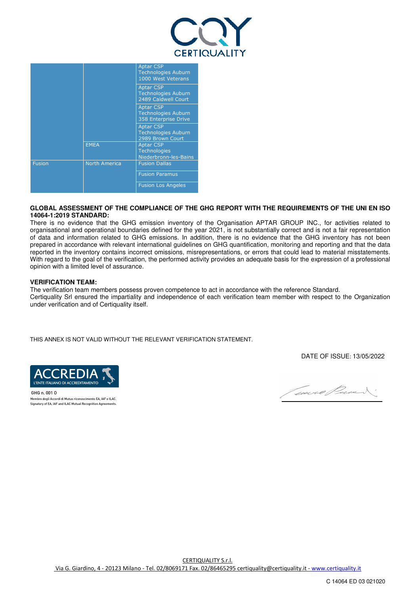

|               |                      | <b>Aptar CSP</b><br><b>Technologies Auburn</b><br>1000 West Veterans   |  |
|---------------|----------------------|------------------------------------------------------------------------|--|
|               |                      | <b>Aptar CSP</b><br><b>Technologies Auburn</b><br>2489 Caldwell Court  |  |
|               |                      | <b>Aptar CSP</b><br><b>Technologies Auburn</b><br>358 Enterprise Drive |  |
|               |                      | <b>Aptar CSP</b><br><b>Technologies Auburn</b><br>2989 Brown Court     |  |
|               | <b>EMEA</b>          | <b>Aptar CSP</b><br><b>Technologies</b><br>Niederbronn-les-Bains       |  |
| <b>Fusion</b> | <b>North America</b> | <b>Fusion Dallas</b>                                                   |  |
|               |                      | <b>Fusion Paramus</b>                                                  |  |
|               |                      | <b>Fusion Los Angeles</b>                                              |  |

#### **GLOBAL ASSESSMENT OF THE COMPLIANCE OF THE GHG REPORT WITH THE REQUIREMENTS OF THE UNI EN ISO 14064-1:2019 STANDARD:**

There is no evidence that the GHG emission inventory of the Organisation APTAR GROUP INC., for activities related to organisational and operational boundaries defined for the year 2021, is not substantially correct and is not a fair representation of data and information related to GHG emissions. In addition, there is no evidence that the GHG inventory has not been prepared in accordance with relevant international guidelines on GHG quantification, monitoring and reporting and that the data reported in the inventory contains incorrect omissions, misrepresentations, or errors that could lead to material misstatements. With regard to the goal of the verification, the performed activity provides an adequate basis for the expression of a professional opinion with a limited level of assurance.

#### **VERIFICATION TEAM:**

The verification team members possess proven competence to act in accordance with the reference Standard. Certiquality Srl ensured the impartiality and independence of each verification team member with respect to the Organization under verification and of Certiquality itself.

THIS ANNEX IS NOT VALID WITHOUT THE RELEVANT VERIFICATION STATEMENT.

DATE OF ISSUE: 13/05/2022



 $GHG n$  001  $Q$ Membro degli Accordi di Mutuo riconoscimento EA, IAF e ILAC. Signatory of EA, IAF and ILAC Mutual Recognition Agreements

Court Precent